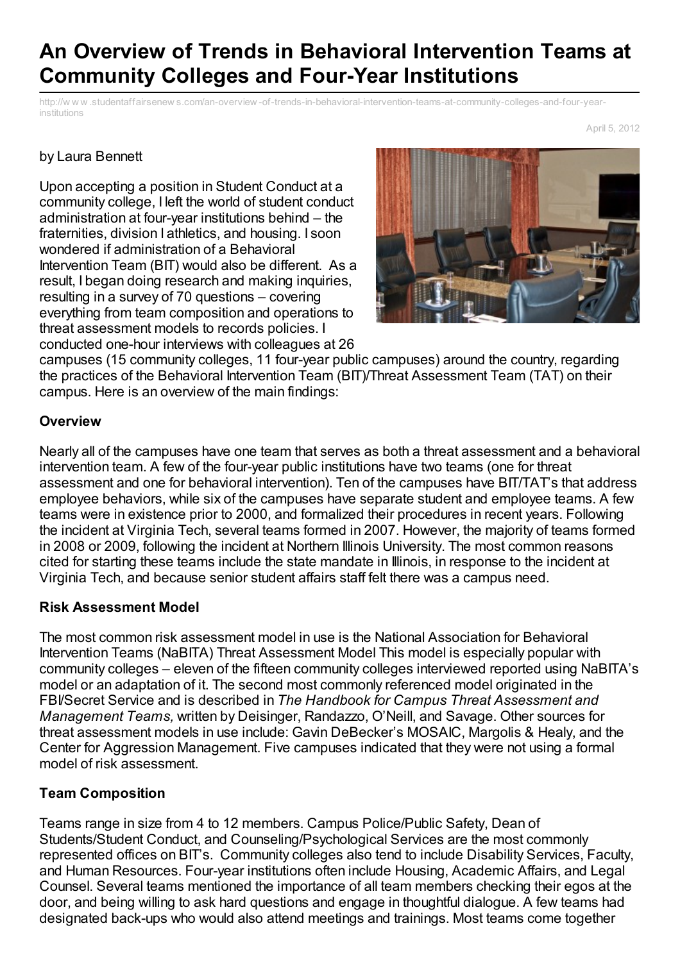# **An Overview of Trends in Behavioral Intervention Teams at Community Colleges and Four-Year Institutions**

http://w w w .studentaffairsenew s.com/an-overview [-of-trends-in-behavioral-intervention-teams-at-community-colleges-and-four-year](http://www.printfriendly.com/print?url=http%3A%2F%2Fwww.studentaffairsenews.com%2Fan-overview-of-trends-in-behavioral-intervention-teams-at-community-colleges-and-four-year-institutions&partner=a2a)institutions

April 5, 2012

### by Laura Bennett

Upon accepting a position in Student Conduct at a community college, I left the world of student conduct administration at four-year institutions behind – the fraternities, division I athletics, and housing. I soon wondered if administration of a Behavioral Intervention Team (BIT) would also be different. As a result, I began doing research and making inquiries, resulting in a survey of 70 questions – covering everything from team composition and operations to threat assessment models to records policies. I conducted one-hour interviews with colleagues at 26



campuses (15 community colleges, 11 four-year public campuses) around the country, regarding the practices of the Behavioral Intervention Team (BIT)/Threat Assessment Team (TAT) on their campus. Here is an overview of the main findings:

### **Overview**

Nearly all of the campuses have one team that serves as both a threat assessment and a behavioral intervention team. A few of the four-year public institutions have two teams (one for threat assessment and one for behavioral intervention). Ten of the campuses have BIT/TAT's that address employee behaviors, while six of the campuses have separate student and employee teams. A few teams were in existence prior to 2000, and formalized their procedures in recent years. Following the incident at Virginia Tech, several teams formed in 2007. However, the majority of teams formed in 2008 or 2009, following the incident at Northern Illinois University. The most common reasons cited for starting these teams include the state mandate in Illinois, in response to the incident at Virginia Tech, and because senior student affairs staff felt there was a campus need.

#### **Risk Assessment Model**

The most common risk assessment model in use is the National Association for Behavioral Intervention Teams (NaBITA) Threat Assessment Model This model is especially popular with community colleges – eleven of the fifteen community colleges interviewed reported using NaBITA's model or an adaptation of it. The second most commonly referenced model originated in the FBI/Secret Service and is described in *The Handbook for Campus Threat Assessment and Management Teams,* written by Deisinger, Randazzo, O'Neill, and Savage. Other sources for threat assessment models in use include: Gavin DeBecker's MOSAIC, Margolis & Healy, and the Center for Aggression Management. Five campuses indicated that they were not using a formal model of risk assessment.

## **Team Composition**

Teams range in size from 4 to 12 members. Campus Police/Public Safety, Dean of Students/Student Conduct, and Counseling/Psychological Services are the most commonly represented offices on BIT's. Community colleges also tend to include Disability Services, Faculty, and Human Resources. Four-year institutions often include Housing, Academic Affairs, and Legal Counsel. Several teams mentioned the importance of all team members checking their egos at the door, and being willing to ask hard questions and engage in thoughtful dialogue. A few teams had designated back-ups who would also attend meetings and trainings. Most teams come together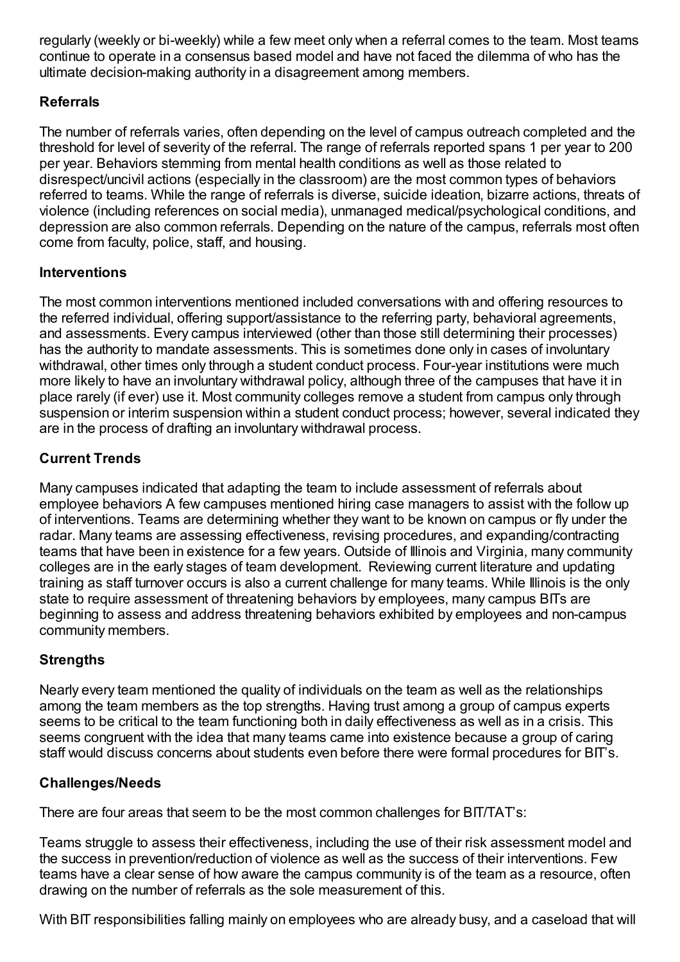regularly (weekly or bi-weekly) while a few meet only when a referral comes to the team. Most teams continue to operate in a consensus based model and have not faced the dilemma of who has the ultimate decision-making authority in a disagreement among members.

# **Referrals**

The number of referrals varies, often depending on the level of campus outreach completed and the threshold for level of severity of the referral. The range of referrals reported spans 1 per year to 200 per year. Behaviors stemming from mental health conditions as well as those related to disrespect/uncivil actions (especially in the classroom) are the most common types of behaviors referred to teams. While the range of referrals is diverse, suicide ideation, bizarre actions, threats of violence (including references on social media), unmanaged medical/psychological conditions, and depression are also common referrals. Depending on the nature of the campus, referrals most often come from faculty, police, staff, and housing.

## **Interventions**

The most common interventions mentioned included conversations with and offering resources to the referred individual, offering support/assistance to the referring party, behavioral agreements, and assessments. Every campus interviewed (other than those still determining their processes) has the authority to mandate assessments. This is sometimes done only in cases of involuntary withdrawal, other times only through a student conduct process. Four-year institutions were much more likely to have an involuntary withdrawal policy, although three of the campuses that have it in place rarely (if ever) use it. Most community colleges remove a student from campus only through suspension or interim suspension within a student conduct process; however, several indicated they are in the process of drafting an involuntary withdrawal process.

# **Current Trends**

Many campuses indicated that adapting the team to include assessment of referrals about employee behaviors A few campuses mentioned hiring case managers to assist with the follow up of interventions. Teams are determining whether they want to be known on campus or fly under the radar. Many teams are assessing effectiveness, revising procedures, and expanding/contracting teams that have been in existence for a few years. Outside of Illinois and Virginia, many community colleges are in the early stages of team development. Reviewing current literature and updating training as staff turnover occurs is also a current challenge for many teams. While Illinois is the only state to require assessment of threatening behaviors by employees, many campus BITs are beginning to assess and address threatening behaviors exhibited by employees and non-campus community members.

# **Strengths**

Nearly every team mentioned the quality of individuals on the team as well as the relationships among the team members as the top strengths. Having trust among a group of campus experts seems to be critical to the team functioning both in daily effectiveness as well as in a crisis. This seems congruent with the idea that many teams came into existence because a group of caring staff would discuss concerns about students even before there were formal procedures for BIT's.

# **Challenges/Needs**

There are four areas that seem to be the most common challenges for BIT/TAT's:

Teams struggle to assess their effectiveness, including the use of their risk assessment model and the success in prevention/reduction of violence as well as the success of their interventions. Few teams have a clear sense of how aware the campus community is of the team as a resource, often drawing on the number of referrals as the sole measurement of this.

With BIT responsibilities falling mainly on employees who are already busy, and a caseload that will